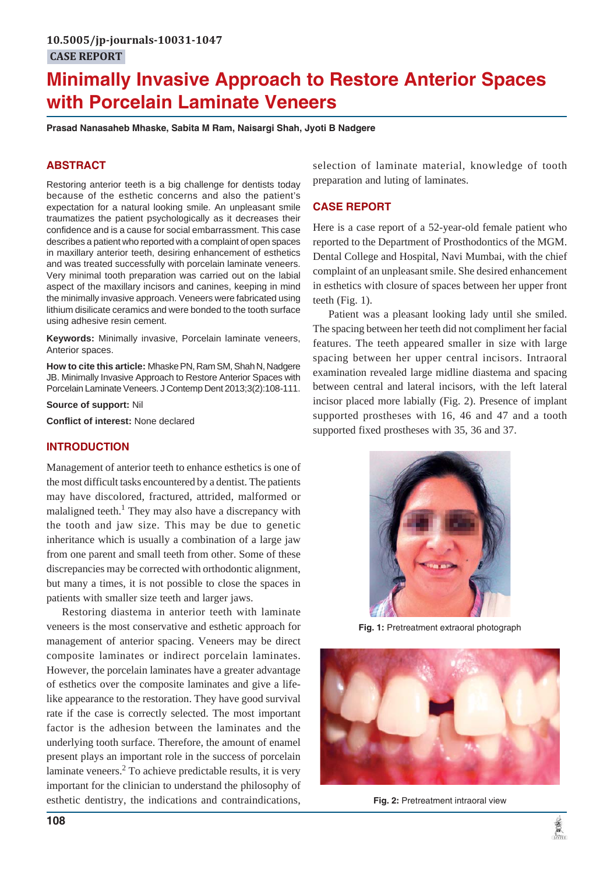# **Minimally Invasive Approach to Restore Anterior Spaces with Porcelain Laminate Veneers**

**Prasad Nanasaheb Mhaske, Sabita M Ram, Naisargi Shah, Jyoti B Nadgere**

# **ABSTRACT**

Restoring anterior teeth is a big challenge for dentists today because of the esthetic concerns and also the patient's expectation for a natural looking smile. An unpleasant smile traumatizes the patient psychologically as it decreases their confidence and is a cause for social embarrassment. This case describes a patient who reported with a complaint of open spaces in maxillary anterior teeth, desiring enhancement of esthetics and was treated successfully with porcelain laminate veneers. Very minimal tooth preparation was carried out on the labial aspect of the maxillary incisors and canines, keeping in mind the minimally invasive approach. Veneers were fabricated using lithium disilicate ceramics and were bonded to the tooth surface using adhesive resin cement.

**Keywords:** Minimally invasive, Porcelain laminate veneers, Anterior spaces.

**How to cite this article:** Mhaske PN, Ram SM, Shah N, Nadgere JB. Minimally Invasive Approach to Restore Anterior Spaces with Porcelain Laminate Veneers. J Contemp Dent 2013;3(2):108-111.

**Source of support:** Nil

**Conflict of interest:** None declared

## **INTRODUCTION**

Management of anterior teeth to enhance esthetics is one of the most difficult tasks encountered by a dentist. The patients may have discolored, fractured, attrided, malformed or malaligned teeth.<sup>1</sup> They may also have a discrepancy with the tooth and jaw size. This may be due to genetic inheritance which is usually a combination of a large jaw from one parent and small teeth from other. Some of these discrepancies may be corrected with orthodontic alignment, but many a times, it is not possible to close the spaces in patients with smaller size teeth and larger jaws.

Restoring diastema in anterior teeth with laminate veneers is the most conservative and esthetic approach for management of anterior spacing. Veneers may be direct composite laminates or indirect porcelain laminates. However, the porcelain laminates have a greater advantage of esthetics over the composite laminates and give a lifelike appearance to the restoration. They have good survival rate if the case is correctly selected. The most important factor is the adhesion between the laminates and the underlying tooth surface. Therefore, the amount of enamel present plays an important role in the success of porcelain laminate veneers.<sup>2</sup> To achieve predictable results, it is very important for the clinician to understand the philosophy of esthetic dentistry, the indications and contraindications,

selection of laminate material, knowledge of tooth preparation and luting of laminates.

## **CASE REPORT**

Here is a case report of a 52-year-old female patient who reported to the Department of Prosthodontics of the MGM. Dental College and Hospital, Navi Mumbai, with the chief complaint of an unpleasant smile. She desired enhancement in esthetics with closure of spaces between her upper front teeth (Fig. 1).

Patient was a pleasant looking lady until she smiled. The spacing between her teeth did not compliment her facial features. The teeth appeared smaller in size with large spacing between her upper central incisors. Intraoral examination revealed large midline diastema and spacing between central and lateral incisors, with the left lateral incisor placed more labially (Fig. 2). Presence of implant supported prostheses with 16, 46 and 47 and a tooth supported fixed prostheses with 35, 36 and 37.



**Fig. 1:** Pretreatment extraoral photograph



**Fig. 2:** Pretreatment intraoral view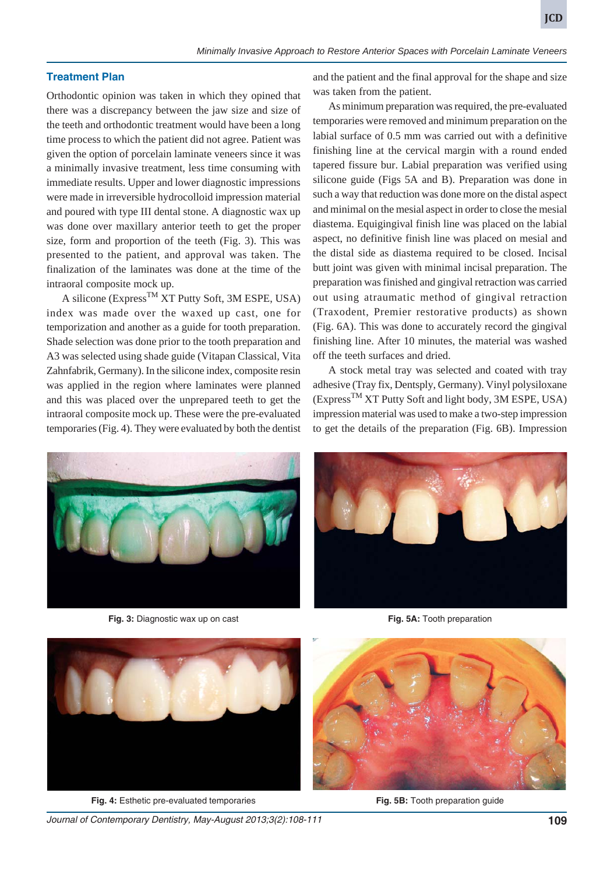## **Treatment Plan**

Orthodontic opinion was taken in which they opined that there was a discrepancy between the jaw size and size of the teeth and orthodontic treatment would have been a long time process to which the patient did not agree. Patient was given the option of porcelain laminate veneers since it was a minimally invasive treatment, less time consuming with immediate results. Upper and lower diagnostic impressions were made in irreversible hydrocolloid impression material and poured with type III dental stone. A diagnostic wax up was done over maxillary anterior teeth to get the proper size, form and proportion of the teeth (Fig. 3). This was presented to the patient, and approval was taken. The finalization of the laminates was done at the time of the intraoral composite mock up.

A silicone (Express<sup>TM</sup> XT Putty Soft, 3M ESPE, USA) index was made over the waxed up cast, one for temporization and another as a guide for tooth preparation. Shade selection was done prior to the tooth preparation and A3 was selected using shade guide (Vitapan Classical, Vita Zahnfabrik, Germany). In the silicone index, composite resin was applied in the region where laminates were planned and this was placed over the unprepared teeth to get the intraoral composite mock up. These were the pre-evaluated temporaries (Fig. 4). They were evaluated by both the dentist and the patient and the final approval for the shape and size was taken from the patient.

As minimum preparation was required, the pre-evaluated temporaries were removed and minimum preparation on the labial surface of 0.5 mm was carried out with a definitive finishing line at the cervical margin with a round ended tapered fissure bur. Labial preparation was verified using silicone guide (Figs 5A and B). Preparation was done in such a way that reduction was done more on the distal aspect and minimal on the mesial aspect in order to close the mesial diastema. Equigingival finish line was placed on the labial aspect, no definitive finish line was placed on mesial and the distal side as diastema required to be closed. Incisal butt joint was given with minimal incisal preparation. The preparation was finished and gingival retraction was carried out using atraumatic method of gingival retraction (Traxodent, Premier restorative products) as shown (Fig. 6A). This was done to accurately record the gingival finishing line. After 10 minutes, the material was washed off the teeth surfaces and dried.

A stock metal tray was selected and coated with tray adhesive (Tray fix, Dentsply, Germany). Vinyl polysiloxane (ExpressTM XT Putty Soft and light body, 3M ESPE, USA) impression material was used to make a two-step impression to get the details of the preparation (Fig. 6B). Impression



**Fig. 3:** Diagnostic wax up on cast



**Fig. 5A:** Tooth preparation



**Fig. 4:** Esthetic pre-evaluated temporaries



**Fig. 5B:** Tooth preparation guide

*Journal of Contemporary Dentistry, May-August 2013;3(2):108-111* **109**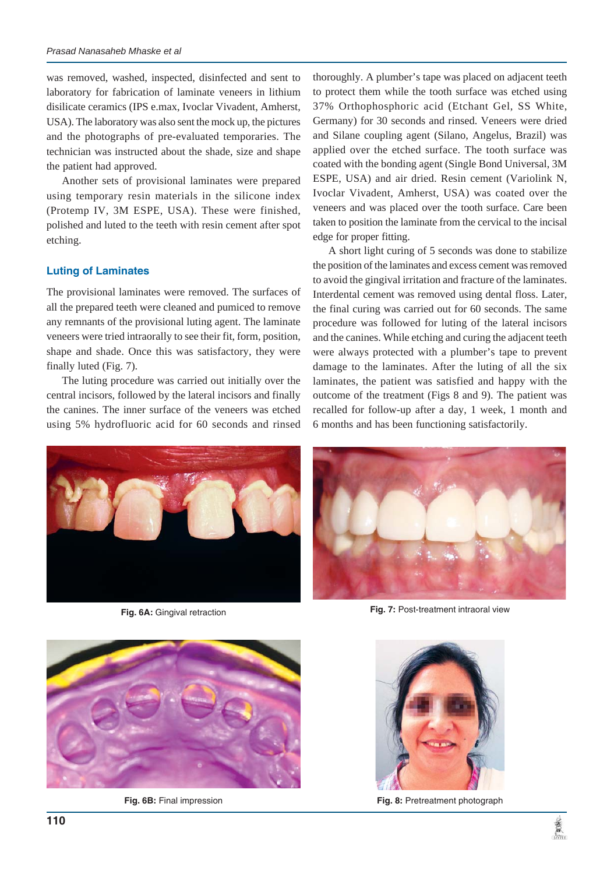was removed, washed, inspected, disinfected and sent to laboratory for fabrication of laminate veneers in lithium disilicate ceramics (IPS e.max, Ivoclar Vivadent, Amherst, USA). The laboratory was also sent the mock up, the pictures and the photographs of pre-evaluated temporaries. The technician was instructed about the shade, size and shape the patient had approved.

Another sets of provisional laminates were prepared using temporary resin materials in the silicone index (Protemp IV, 3M ESPE, USA). These were finished, polished and luted to the teeth with resin cement after spot etching.

### **Luting of Laminates**

The provisional laminates were removed. The surfaces of all the prepared teeth were cleaned and pumiced to remove any remnants of the provisional luting agent. The laminate veneers were tried intraorally to see their fit, form, position, shape and shade. Once this was satisfactory, they were finally luted (Fig. 7).

The luting procedure was carried out initially over the central incisors, followed by the lateral incisors and finally the canines. The inner surface of the veneers was etched using 5% hydrofluoric acid for 60 seconds and rinsed

thoroughly. A plumber's tape was placed on adjacent teeth to protect them while the tooth surface was etched using 37% Orthophosphoric acid (Etchant Gel, SS White, Germany) for 30 seconds and rinsed. Veneers were dried and Silane coupling agent (Silano, Angelus, Brazil) was applied over the etched surface. The tooth surface was coated with the bonding agent (Single Bond Universal, 3M ESPE, USA) and air dried. Resin cement (Variolink N, Ivoclar Vivadent, Amherst, USA) was coated over the veneers and was placed over the tooth surface. Care been taken to position the laminate from the cervical to the incisal edge for proper fitting.

A short light curing of 5 seconds was done to stabilize the position of the laminates and excess cement was removed to avoid the gingival irritation and fracture of the laminates. Interdental cement was removed using dental floss. Later, the final curing was carried out for 60 seconds. The same procedure was followed for luting of the lateral incisors and the canines. While etching and curing the adjacent teeth were always protected with a plumber's tape to prevent damage to the laminates. After the luting of all the six laminates, the patient was satisfied and happy with the outcome of the treatment (Figs 8 and 9). The patient was recalled for follow-up after a day, 1 week, 1 month and 6 months and has been functioning satisfactorily.



**Fig. 6A:** Gingival retraction



**Fig. 7:** Post-treatment intraoral view



**Fig. 6B:** Final impression



**Fig. 8:** Pretreatment photograph